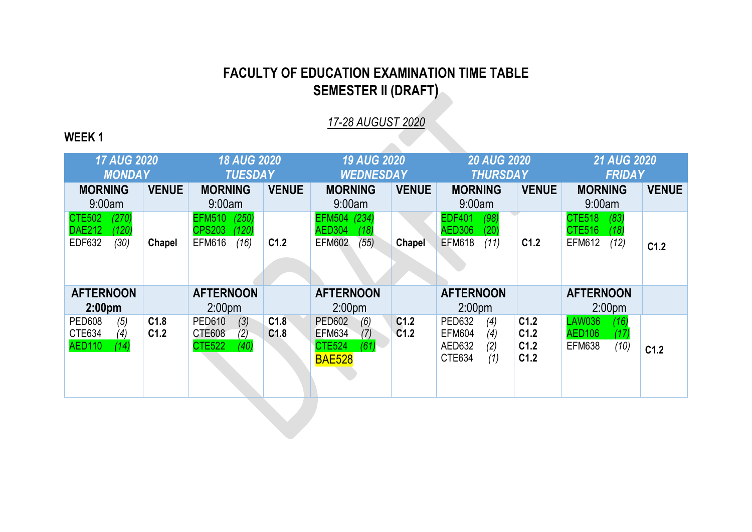## **FACULTY OF EDUCATION EXAMINATION TIME TABLE SEMESTER II (DRAFT)**

*17-28 AUGUST 2020*

 $\mathcal{L}$ 

## **WEEK 1**

| <b>17 AUG 2020</b><br><b>MONDAY</b>                                       |              | <b>18 AUG 2020</b><br><b>TUESDAY</b>                                      |                          | <b>19 AUG 2020</b><br><b>WEDNESDAY</b>                                                 |                          | <b>20 AUG 2020</b><br><b>THURSDAY</b>                                          |                              | <b>21 AUG 2020</b><br><b>FRIDAY</b>                                     |              |
|---------------------------------------------------------------------------|--------------|---------------------------------------------------------------------------|--------------------------|----------------------------------------------------------------------------------------|--------------------------|--------------------------------------------------------------------------------|------------------------------|-------------------------------------------------------------------------|--------------|
| <b>MORNING</b><br>9:00am                                                  | <b>VENUE</b> | <b>MORNING</b><br>9:00am                                                  | <b>VENUE</b>             | <b>MORNING</b><br>9:00am                                                               | <b>VENUE</b>             | <b>MORNING</b><br>9:00am                                                       | <b>VENUE</b>                 | <b>MORNING</b><br>9:00am                                                | <b>VENUE</b> |
| (270)<br><b>CTE502</b><br><b>DAE212</b><br>(120)<br><b>EDF632</b><br>(30) | Chapel       | (250)<br><b>EFM510</b><br><b>CPS203</b><br>(120)<br><b>EFM616</b><br>(16) | C <sub>1.2</sub>         | (234)<br><b>EFM504</b><br><b>AED304</b><br>(18)<br><b>EFM602</b><br>(55)               | <b>Chapel</b>            | <b>EDF401</b><br>(98)<br><b>AED306</b><br>(20)<br><b>EFM618</b><br>(11)        | C1.2                         | <b>CTE518</b><br>(83)<br><b>CTE516</b><br>(18)<br><b>EFM612</b><br>(12) | C1.2         |
| <b>AFTERNOON</b><br>2:00 <sub>pm</sub>                                    |              | <b>AFTERNOON</b><br>2:00 <sub>pm</sub>                                    |                          | <b>AFTERNOON</b><br>2:00 <sub>pm</sub>                                                 |                          | <b>AFTERNOON</b><br>2:00 <sub>pm</sub>                                         |                              | <b>AFTERNOON</b><br>2:00 <sub>pm</sub>                                  |              |
| (5)<br><b>PED608</b><br>CTE634<br>(4)<br><b>AED110</b><br>(14)            | C1.8<br>C1.2 | <b>PED610</b><br>(3)<br><b>CTE608</b><br>(2)<br><b>CTE522</b><br>(40)     | C1.8<br>C <sub>1.8</sub> | <b>PED602</b><br>(6)<br><b>EFM634</b><br>(7)<br><b>CTE524</b><br>(61)<br><b>BAE528</b> | C1.2<br>C <sub>1.2</sub> | <b>PED632</b><br>(4)<br><b>EFM604</b><br>(4)<br>AED632<br>(2)<br>CTE634<br>(1) | C1.2<br>C1.2<br>C1.2<br>C1.2 | <b>LAW036</b><br>(16)<br><b>AED106</b><br>(17)<br><b>EFM638</b><br>(10) | C1.2         |
|                                                                           |              |                                                                           |                          |                                                                                        |                          |                                                                                |                              |                                                                         |              |